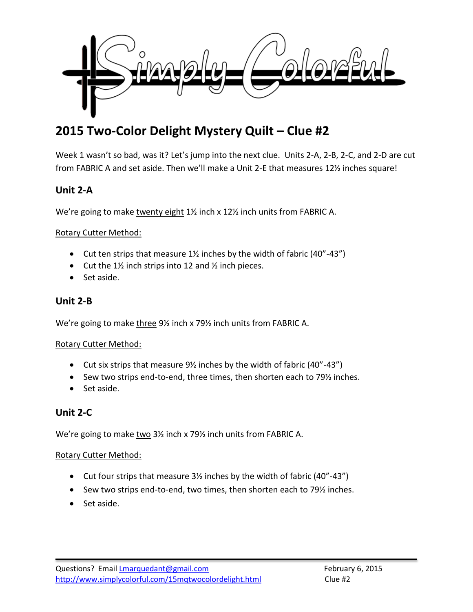

# **2015 Two-Color Delight Mystery Quilt – Clue #2**

Week 1 wasn't so bad, was it? Let's jump into the next clue. Units 2-A, 2-B, 2-C, and 2-D are cut from FABRIC A and set aside. Then we'll make a Unit 2-E that measures 12½ inches square!

# **Unit 2-A**

We're going to make twenty eight 1% inch x 12% inch units from FABRIC A.

#### Rotary Cutter Method:

- $\bullet$  Cut ten strips that measure 1% inches by the width of fabric (40"-43")
- Cut the  $1\frac{1}{2}$  inch strips into 12 and  $\frac{1}{2}$  inch pieces.
- Set aside.

## **Unit 2-B**

We're going to make three 9½ inch x 79½ inch units from FABRIC A.

### Rotary Cutter Method:

- Cut six strips that measure  $9\frac{1}{2}$  inches by the width of fabric (40"-43")
- Sew two strips end-to-end, three times, then shorten each to 79½ inches.
- Set aside.

# **Unit 2-C**

We're going to make two 3½ inch x 79½ inch units from FABRIC A.

#### Rotary Cutter Method:

- Cut four strips that measure 3½ inches by the width of fabric (40"-43")
- Sew two strips end-to-end, two times, then shorten each to 79½ inches.
- Set aside.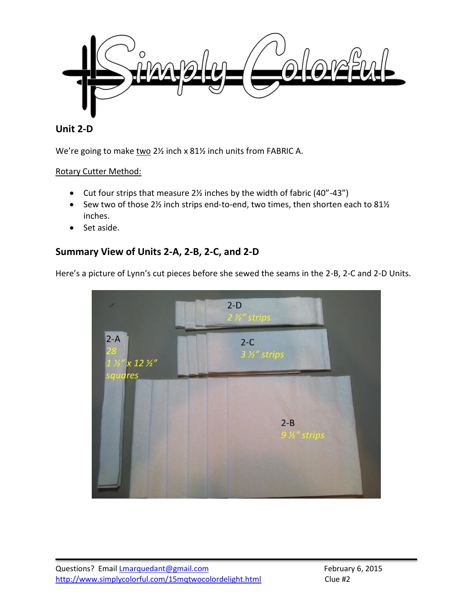

## **Unit 2-D**

We're going to make two 2½ inch x 81½ inch units from FABRIC A.

#### Rotary Cutter Method:

- Cut four strips that measure 2½ inches by the width of fabric (40"-43")
- Sew two of those 2 $\frac{1}{2}$  inch strips end-to-end, two times, then shorten each to 81 $\frac{1}{2}$ inches.
- Set aside.

# **Summary View of Units 2-A, 2-B, 2-C, and 2-D**

Here's a picture of Lynn's cut pieces before she sewed the seams in the 2-B, 2-C and 2-D Units.

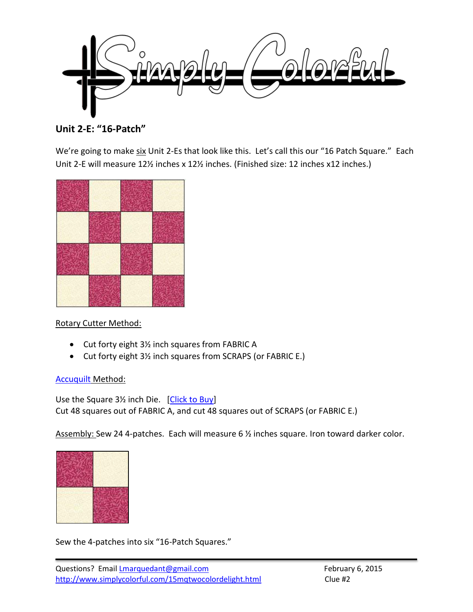

**Unit 2-E: "16-Patch"**

We're going to make six Unit 2-Es that look like this. Let's call this our "16 Patch Square." Each Unit 2-E will measure 12½ inches x 12½ inches. (Finished size: 12 inches x12 inches.)



Rotary Cutter Method:

- Cut forty eight 3½ inch squares from FABRIC A
- Cut forty eight 3½ inch squares from SCRAPS (or FABRIC E.)

### [Accuquilt](http://www.amazon.com/gp/product/B0021F62D6/ref=as_li_tl?ie=UTF8&camp=1789&creative=390957&creativeASIN=B0021F62D6&linkCode=as2&tag=simcolfibart-20&linkId=5AORDCJJM3EOL23X) Method:

Use the Square 3½ inch Die. [\[Click to Buy\]](http://www.amazon.com/gp/product/B0021FEEKO/ref=as_li_tl?ie=UTF8&camp=1789&creative=390957&creativeASIN=B0021FEEKO&linkCode=as2&tag=simcolfibart-20&linkId=72RVY5RKB5K7PKGE) Cut 48 squares out of FABRIC A, and cut 48 squares out of SCRAPS (or FABRIC E.)

Assembly: Sew 24 4-patches. Each will measure 6 ½ inches square. Iron toward darker color.

Sew the 4-patches into six "16-Patch Squares."